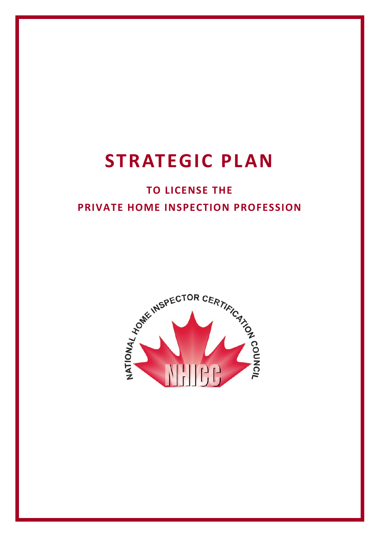# **STRATEGIC PLAN**

# **TO LICENSE THE PRIVATE HOME INSPECTION PROFESSION**

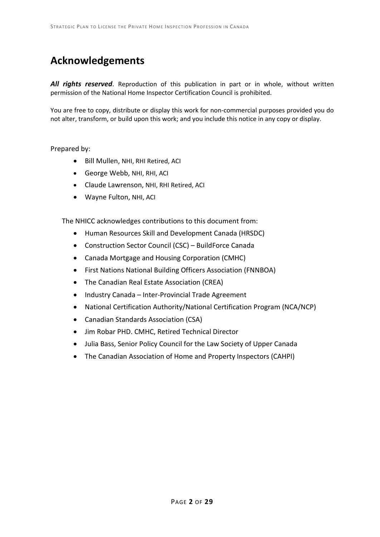### **Acknowledgements**

*All rights reserved*. Reproduction of this publication in part or in whole, without written permission of the National Home Inspector Certification Council is prohibited.

You are free to copy, distribute or display this work for non-commercial purposes provided you do not alter, transform, or build upon this work; and you include this notice in any copy or display.

#### Prepared by:

- Bill Mullen, NHI, RHI Retired, ACI
- George Webb, NHI, RHI, ACI
- Claude Lawrenson, NHI, RHI Retired, ACI
- Wayne Fulton, NHI, ACI

The NHICC acknowledges contributions to this document from:

- Human Resources Skill and Development Canada (HRSDC)
- Construction Sector Council (CSC) BuildForce Canada
- Canada Mortgage and Housing Corporation (CMHC)
- First Nations National Building Officers Association (FNNBOA)
- The Canadian Real Estate Association (CREA)
- Industry Canada Inter-Provincial Trade Agreement
- National Certification Authority/National Certification Program (NCA/NCP)
- Canadian Standards Association (CSA)
- Jim Robar PHD. CMHC, Retired Technical Director
- Julia Bass, Senior Policy Council for the Law Society of Upper Canada
- The Canadian Association of Home and Property Inspectors (CAHPI)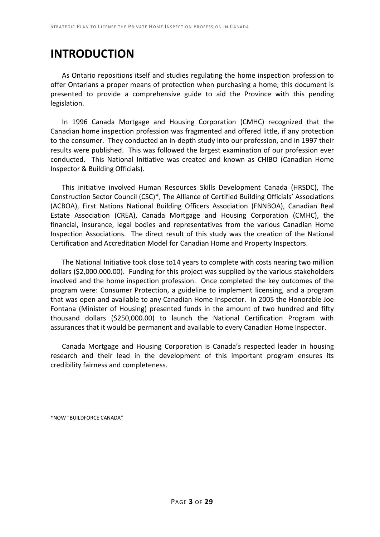# **INTRODUCTION**

As Ontario repositions itself and studies regulating the home inspection profession to offer Ontarians a proper means of protection when purchasing a home; this document is presented to provide a comprehensive guide to aid the Province with this pending legislation.

In 1996 Canada Mortgage and Housing Corporation (CMHC) recognized that the Canadian home inspection profession was fragmented and offered little, if any protection to the consumer. They conducted an in-depth study into our profession, and in 1997 their results were published. This was followed the largest examination of our profession ever conducted. This National Initiative was created and known as CHIBO (Canadian Home Inspector & Building Officials).

This initiative involved Human Resources Skills Development Canada (HRSDC), The Construction Sector Council (CSC)\*, The Alliance of Certified Building Officials' Associations (ACBOA), First Nations National Building Officers Association (FNNBOA), Canadian Real Estate Association (CREA), Canada Mortgage and Housing Corporation (CMHC), the financial, insurance, legal bodies and representatives from the various Canadian Home Inspection Associations. The direct result of this study was the creation of the National Certification and Accreditation Model for Canadian Home and Property Inspectors.

The National Initiative took close to14 years to complete with costs nearing two million dollars (\$2,000.000.00). Funding for this project was supplied by the various stakeholders involved and the home inspection profession. Once completed the key outcomes of the program were: Consumer Protection, a guideline to implement licensing, and a program that was open and available to any Canadian Home Inspector. In 2005 the Honorable Joe Fontana (Minister of Housing) presented funds in the amount of two hundred and fifty thousand dollars (\$250,000.00) to launch the National Certification Program with assurances that it would be permanent and available to every Canadian Home Inspector.

Canada Mortgage and Housing Corporation is Canada's respected leader in housing research and their lead in the development of this important program ensures its credibility fairness and completeness.

\*NOW "BUILDFORCE CANADA"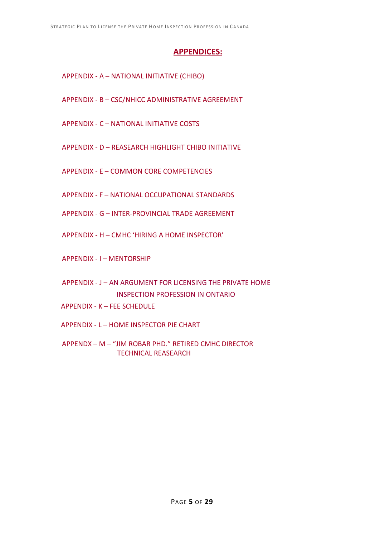### **APPENDICES:**

- APPENDIX A NATIONAL INITIATIVE (CHIBO)
- APPENDIX B CSC/NHICC ADMINISTRATIVE AGREEMENT
- APPENDIX C NATIONAL INITIATIVE COSTS
- APPENDIX D REASEARCH HIGHLIGHT CHIBO INITIATIVE
- APPENDIX E COMMON CORE COMPETENCIES
- APPENDIX F NATIONAL OCCUPATIONAL STANDARDS
- APPENDIX G INTER-PROVINCIAL TRADE AGREEMENT
- APPENDIX H CMHC 'HIRING A HOME INSPECTOR'
- APPENDIX I MENTORSHIP
- APPENDIX J AN ARGUMENT FOR LICENSING THE PRIVATE HOME INSPECTION PROFESSION IN ONTARIO
- APPENDIX K FEE SCHEDULE
- APPENDIX L HOME INSPECTOR PIE CHART
- APPENDX M "JIM ROBAR PHD." RETIRED CMHC DIRECTOR TECHNICAL REASEARCH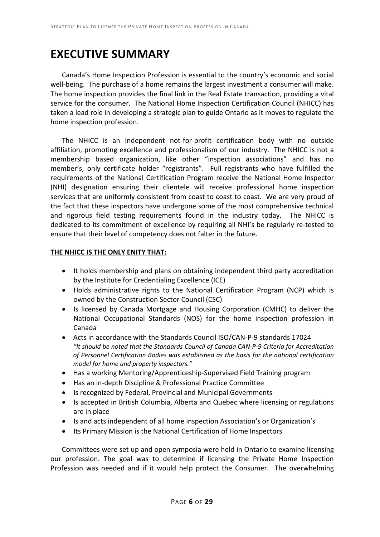# **EXECUTIVE SUMMARY**

Canada's Home Inspection Profession is essential to the country's economic and social well-being. The purchase of a home remains the largest investment a consumer will make. The home inspection provides the final link in the Real Estate transaction, providing a vital service for the consumer. The National Home Inspection Certification Council (NHICC) has taken a lead role in developing a strategic plan to guide Ontario as it moves to regulate the home inspection profession.

The NHICC is an independent not-for-profit certification body with no outside affiliation, promoting excellence and professionalism of our industry. The NHICC is not a membership based organization, like other "inspection associations" and has no member's, only certificate holder "registrants". Full registrants who have fulfilled the requirements of the National Certification Program receive the National Home Inspector (NHI) designation ensuring their clientele will receive professional home inspection services that are uniformly consistent from coast to coast to coast. We are very proud of the fact that these inspectors have undergone some of the most comprehensive technical and rigorous field testing requirements found in the industry today. The NHICC is dedicated to its commitment of excellence by requiring all NHI's be regularly re-tested to ensure that their level of competency does not falter in the future.

#### **THE NHICC IS THE ONLY ENITY THAT:**

- It holds membership and plans on obtaining independent third party accreditation by the Institute for Credentialing Excellence (ICE)
- Holds administrative rights to the National Certification Program (NCP) which is owned by the Construction Sector Council (CSC)
- Is licensed by Canada Mortgage and Housing Corporation (CMHC) to deliver the National Occupational Standards (NOS) for the home inspection profession in Canada
- Acts in accordance with the Standards Council ISO/CAN-P-9 standards 17024 *"It should be noted that the Standards Council of Canada CAN-P-9 Criteria for Accreditation of Personnel Certification Bodies was established as the basis for the national certification model for home and property inspectors."*
- Has a working Mentoring/Apprenticeship-Supervised Field Training program
- Has an in-depth Discipline & Professional Practice Committee
- Is recognized by Federal, Provincial and Municipal Governments
- Is accepted in British Columbia, Alberta and Quebec where licensing or regulations are in place
- Is and acts independent of all home inspection Association's or Organization's
- Its Primary Mission is the National Certification of Home Inspectors

Committees were set up and open symposia were held in Ontario to examine licensing our profession. The goal was to determine if licensing the Private Home Inspection Profession was needed and if it would help protect the Consumer. The overwhelming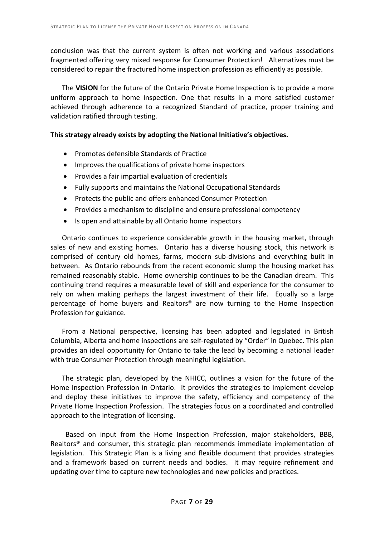conclusion was that the current system is often not working and various associations fragmented offering very mixed response for Consumer Protection! Alternatives must be considered to repair the fractured home inspection profession as efficiently as possible.

The **VISION** for the future of the Ontario Private Home Inspection is to provide a more uniform approach to home inspection. One that results in a more satisfied customer achieved through adherence to a recognized Standard of practice, proper training and validation ratified through testing.

#### **This strategy already exists by adopting the National Initiative's objectives.**

- Promotes defensible Standards of Practice
- Improves the qualifications of private home inspectors
- Provides a fair impartial evaluation of credentials
- Fully supports and maintains the National Occupational Standards
- Protects the public and offers enhanced Consumer Protection
- Provides a mechanism to discipline and ensure professional competency
- Is open and attainable by all Ontario home inspectors

Ontario continues to experience considerable growth in the housing market, through sales of new and existing homes. Ontario has a diverse housing stock, this network is comprised of century old homes, farms, modern sub-divisions and everything built in between. As Ontario rebounds from the recent economic slump the housing market has remained reasonably stable. Home ownership continues to be the Canadian dream. This continuing trend requires a measurable level of skill and experience for the consumer to rely on when making perhaps the largest investment of their life. Equally so a large percentage of home buyers and Realtors® are now turning to the Home Inspection Profession for guidance.

From a National perspective, licensing has been adopted and legislated in British Columbia, Alberta and home inspections are self-regulated by "Order" in Quebec. This plan provides an ideal opportunity for Ontario to take the lead by becoming a national leader with true Consumer Protection through meaningful legislation.

The strategic plan, developed by the NHICC, outlines a vision for the future of the Home Inspection Profession in Ontario. It provides the strategies to implement develop and deploy these initiatives to improve the safety, efficiency and competency of the Private Home Inspection Profession. The strategies focus on a coordinated and controlled approach to the integration of licensing.

 Based on input from the Home Inspection Profession, major stakeholders, BBB, Realtors® and consumer, this strategic plan recommends immediate implementation of legislation. This Strategic Plan is a living and flexible document that provides strategies and a framework based on current needs and bodies. It may require refinement and updating over time to capture new technologies and new policies and practices.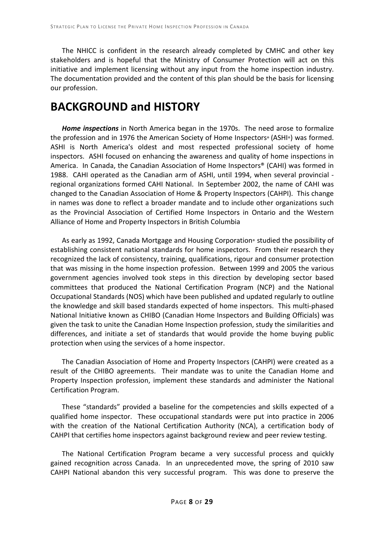The NHICC is confident in the research already completed by CMHC and other key stakeholders and is hopeful that the Ministry of Consumer Protection will act on this initiative and implement licensing without any input from the home inspection industry. The documentation provided and the content of this plan should be the basis for licensing our profession.

### **BACKGROUND and HISTORY**

*Home inspections* in North America began in the 1970s. The need arose to formalize the profession and in 1976 the American Society of Home Inspectors® (ASHI®) was formed. ASHI is North America's oldest and most respected professional society of home inspectors. ASHI focused on enhancing the awareness and quality of home inspections in America. In Canada, the Canadian Association of Home Inspectors® (CAHI) was formed in 1988. CAHI operated as the Canadian arm of ASHI, until 1994, when several provincial regional organizations formed CAHI National. In September 2002, the name of CAHI was changed to the Canadian Association of Home & Property Inspectors (CAHPI). This change in names was done to reflect a broader mandate and to include other organizations such as the Provincial Association of Certified Home Inspectors in Ontario and the Western Alliance of Home and Property Inspectors in British Columbia

As early as 1992, Canada Mortgage and Housing Corporation® studied the possibility of establishing consistent national standards for home inspectors. From their research they recognized the lack of consistency, training, qualifications, rigour and consumer protection that was missing in the home inspection profession. Between 1999 and 2005 the various government agencies involved took steps in this direction by developing sector based committees that produced the National Certification Program (NCP) and the National Occupational Standards (NOS) which have been published and updated regularly to outline the knowledge and skill based standards expected of home inspectors. This multi-phased National Initiative known as CHIBO (Canadian Home Inspectors and Building Officials) was given the task to unite the Canadian Home Inspection profession, study the similarities and differences, and initiate a set of standards that would provide the home buying public protection when using the services of a home inspector.

The Canadian Association of Home and Property Inspectors (CAHPI) were created as a result of the CHIBO agreements. Their mandate was to unite the Canadian Home and Property Inspection profession, implement these standards and administer the National Certification Program.

These "standards" provided a baseline for the competencies and skills expected of a qualified home inspector. These occupational standards were put into practice in 2006 with the creation of the National Certification Authority (NCA), a certification body of CAHPI that certifies home inspectors against background review and peer review testing.

The National Certification Program became a very successful process and quickly gained recognition across Canada. In an unprecedented move, the spring of 2010 saw CAHPI National abandon this very successful program. This was done to preserve the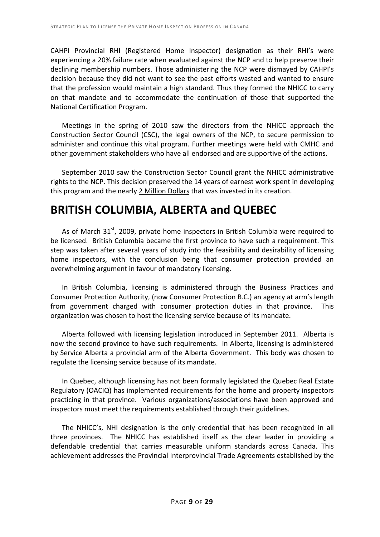CAHPI Provincial RHI (Registered Home Inspector) designation as their RHI's were experiencing a 20% failure rate when evaluated against the NCP and to help preserve their declining membership numbers. Those administering the NCP were dismayed by CAHPI's decision because they did not want to see the past efforts wasted and wanted to ensure that the profession would maintain a high standard. Thus they formed the NHICC to carry on that mandate and to accommodate the continuation of those that supported the National Certification Program.

Meetings in the spring of 2010 saw the directors from the NHICC approach the Construction Sector Council (CSC), the legal owners of the NCP, to secure permission to administer and continue this vital program. Further meetings were held with CMHC and other government stakeholders who have all endorsed and are supportive of the actions.

September 2010 saw the Construction Sector Council grant the NHICC administrative rights to the NCP. This decision preserved the 14 years of earnest work spent in developing this program and the nearly 2 Million Dollars that was invested in its creation.

# **BRITISH COLUMBIA, ALBERTA and QUEBEC**

As of March  $31<sup>st</sup>$ , 2009, private home inspectors in British Columbia were required to be licensed. British Columbia became the first province to have such a requirement. This step was taken after several years of study into the feasibility and desirability of licensing home inspectors, with the conclusion being that consumer protection provided an overwhelming argument in favour of mandatory licensing.

In British Columbia, licensing is administered through the Business Practices and Consumer Protection Authority, (now Consumer Protection B.C.) an agency at arm's length from government charged with consumer protection duties in that province. This organization was chosen to host the licensing service because of its mandate.

Alberta followed with licensing legislation introduced in September 2011. Alberta is now the second province to have such requirements. In Alberta, licensing is administered by Service Alberta a provincial arm of the Alberta Government. This body was chosen to regulate the licensing service because of its mandate.

In Quebec, although licensing has not been formally legislated the Quebec Real Estate Regulatory (OACIQ) has implemented requirements for the home and property inspectors practicing in that province. Various organizations/associations have been approved and inspectors must meet the requirements established through their guidelines.

The NHICC's, NHI designation is the only credential that has been recognized in all three provinces. The NHICC has established itself as the clear leader in providing a defendable credential that carries measurable uniform standards across Canada. This achievement addresses the Provincial Interprovincial Trade Agreements established by the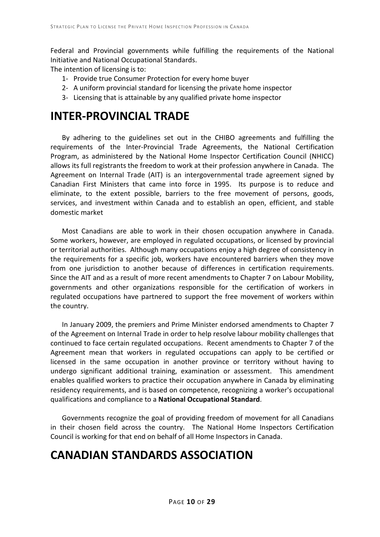Federal and Provincial governments while fulfilling the requirements of the National Initiative and National Occupational Standards.

The intention of licensing is to:

- 1- Provide true Consumer Protection for every home buyer
- 2- A uniform provincial standard for licensing the private home inspector
- 3- Licensing that is attainable by any qualified private home inspector

### **INTER-PROVINCIAL TRADE**

By adhering to the guidelines set out in the CHIBO agreements and fulfilling the requirements of the Inter-Provincial Trade Agreements, the National Certification Program, as administered by the National Home Inspector Certification Council (NHICC) allows its full registrants the freedom to work at their profession anywhere in Canada. The Agreement on Internal Trade (AIT) is an intergovernmental trade agreement signed by Canadian First Ministers that came into force in 1995. Its purpose is to reduce and eliminate, to the extent possible, barriers to the free movement of persons, goods, services, and investment within Canada and to establish an open, efficient, and stable domestic market

Most Canadians are able to work in their chosen occupation anywhere in Canada. Some workers, however, are employed in regulated occupations, or licensed by provincial or territorial authorities. Although many occupations enjoy a high degree of consistency in the requirements for a specific job, workers have encountered barriers when they move from one jurisdiction to another because of differences in certification requirements. Since the AIT and as a result of more recent amendments to Chapter 7 on Labour Mobility, governments and other organizations responsible for the certification of workers in regulated occupations have partnered to support the free movement of workers within the country.

In January 2009, the premiers and Prime Minister endorsed amendments to Chapter 7 of the Agreement on Internal Trade in order to help resolve labour mobility challenges that continued to face certain regulated occupations. Recent amendments to Chapter 7 of the Agreement mean that workers in regulated occupations can apply to be certified or licensed in the same occupation in another province or territory without having to undergo significant additional training, examination or assessment. This amendment enables qualified workers to practice their occupation anywhere in Canada by eliminating residency requirements, and is based on competence, recognizing a worker's occupational qualifications and compliance to a **National Occupational Standard**.

Governments recognize the goal of providing freedom of movement for all Canadians in their chosen field across the country. The National Home Inspectors Certification Council is working for that end on behalf of all Home Inspectors in Canada.

# **CANADIAN STANDARDS ASSOCIATION**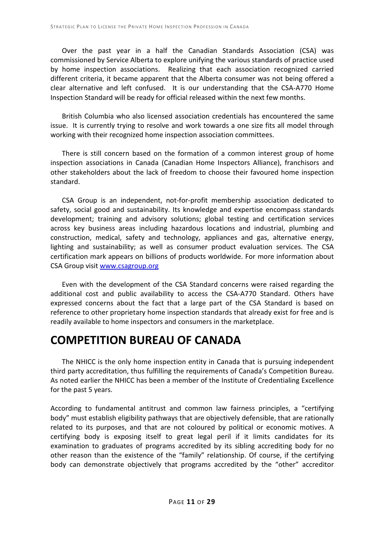Over the past year in a half the Canadian Standards Association (CSA) was commissioned by Service Alberta to explore unifying the various standards of practice used by home inspection associations. Realizing that each association recognized carried different criteria, it became apparent that the Alberta consumer was not being offered a clear alternative and left confused. It is our understanding that the CSA-A770 Home Inspection Standard will be ready for official released within the next few months.

British Columbia who also licensed association credentials has encountered the same issue. It is currently trying to resolve and work towards a one size fits all model through working with their recognized home inspection association committees.

There is still concern based on the formation of a common interest group of home inspection associations in Canada (Canadian Home Inspectors Alliance), franchisors and other stakeholders about the lack of freedom to choose their favoured home inspection standard.

CSA Group is an independent, not-for-profit membership association dedicated to safety, social good and sustainability. Its knowledge and expertise encompass standards development; training and advisory solutions; global testing and certification services across key business areas including hazardous locations and industrial, plumbing and construction, medical, safety and technology, appliances and gas, alternative energy, lighting and sustainability; as well as consumer product evaluation services. The CSA certification mark appears on billions of products worldwide. For more information about CSA Group visit [www.csagroup.org](http://www.csagroup.org/)

Even with the development of the CSA Standard concerns were raised regarding the additional cost and public availability to access the CSA-A770 Standard. Others have expressed concerns about the fact that a large part of the CSA Standard is based on reference to other proprietary home inspection standards that already exist for free and is readily available to home inspectors and consumers in the marketplace.

### **COMPETITION BUREAU OF CANADA**

The NHICC is the only home inspection entity in Canada that is pursuing independent third party accreditation, thus fulfilling the requirements of Canada's Competition Bureau. As noted earlier the NHICC has been a member of the Institute of Credentialing Excellence for the past 5 years.

According to fundamental antitrust and common law fairness principles, a "certifying body" must establish eligibility pathways that are objectively defensible, that are rationally related to its purposes, and that are not coloured by political or economic motives. A certifying body is exposing itself to great legal peril if it limits candidates for its examination to graduates of programs accredited by its sibling accrediting body for no other reason than the existence of the "family" relationship. Of course, if the certifying body can demonstrate objectively that programs accredited by the "other" accreditor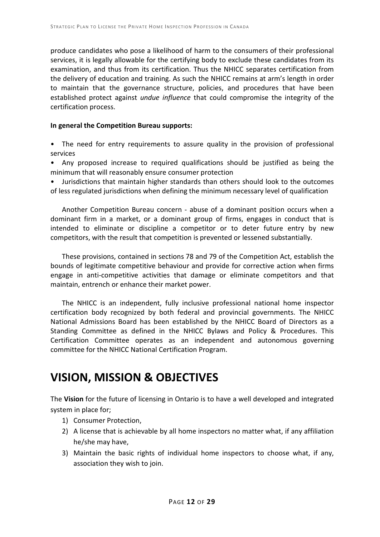produce candidates who pose a likelihood of harm to the consumers of their professional services, it is legally allowable for the certifying body to exclude these candidates from its examination, and thus from its certification. Thus the NHICC separates certification from the delivery of education and training. As such the NHICC remains at arm's length in order to maintain that the governance structure, policies, and procedures that have been established protect against *undue influence* that could compromise the integrity of the certification process.

#### **In general the Competition Bureau supports:**

- The need for entry requirements to assure quality in the provision of professional services
- Any proposed increase to required qualifications should be justified as being the minimum that will reasonably ensure consumer protection
- Jurisdictions that maintain higher standards than others should look to the outcomes of less regulated jurisdictions when defining the minimum necessary level of qualification

Another Competition Bureau concern - abuse of a dominant position occurs when a dominant firm in a market, or a dominant group of firms, engages in conduct that is intended to eliminate or discipline a competitor or to deter future entry by new competitors, with the result that competition is prevented or lessened substantially.

These provisions, contained in sections 78 and 79 of the Competition Act, establish the bounds of legitimate competitive behaviour and provide for corrective action when firms engage in anti-competitive activities that damage or eliminate competitors and that maintain, entrench or enhance their market power.

The NHICC is an independent, fully inclusive professional national home inspector certification body recognized by both federal and provincial governments. The NHICC National Admissions Board has been established by the NHICC Board of Directors as a Standing Committee as defined in the NHICC Bylaws and Policy & Procedures. This Certification Committee operates as an independent and autonomous governing committee for the NHICC National Certification Program.

### **VISION, MISSION & OBJECTIVES**

The **Vision** for the future of licensing in Ontario is to have a well developed and integrated system in place for;

- 1) Consumer Protection,
- 2) A license that is achievable by all home inspectors no matter what, if any affiliation he/she may have,
- 3) Maintain the basic rights of individual home inspectors to choose what, if any, association they wish to join.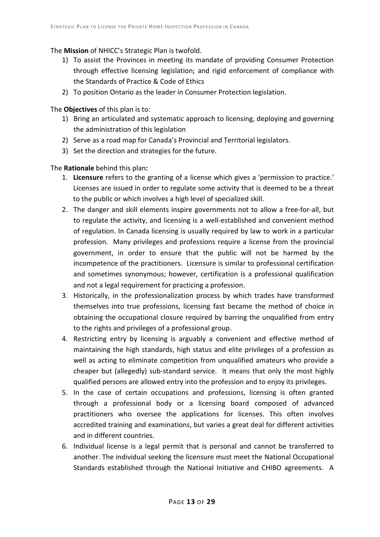### The **Mission** of NHICC's Strategic Plan is twofold.

- 1) To assist the Provinces in meeting its mandate of providing Consumer Protection through effective licensing legislation; and rigid enforcement of compliance with the Standards of Practice & Code of Ethics
- 2) To position Ontario as the leader in Consumer Protection legislation.

### The **Objectives** of this plan is to:

- 1) Bring an articulated and systematic approach to licensing, deploying and governing the administration of this legislation
- 2) Serve as a road map for Canada's Provincial and Territorial legislators.
- 3) Set the direction and strategies for the future.

The **Rationale** behind this plan**:** 

- 1. **Licensure** refers to the granting of a license which gives a 'permission to practice.' Licenses are issued in order to regulate some activity that is deemed to be a threat to the public or which involves a high level of specialized skill.
- 2. The danger and skill elements inspire governments not to allow a free-for-all, but to regulate the activity, and licensing is a well-established and convenient method of regulation. In Canada licensing is usually required by law to work in a particular profession. Many privileges and professions require a license from the provincial government, in order to ensure that the public will not be harmed by the incompetence of the practitioners. Licensure is similar to professional certification and sometimes synonymous; however, certification is a professional qualification and not a legal requirement for practicing a profession.
- 3. Historically, in the professionalization process by which trades have transformed themselves into true professions, licensing fast became the method of choice in obtaining the occupational closure required by barring the unqualified from entry to the rights and privileges of a professional group.
- 4. Restricting entry by licensing is arguably a convenient and effective method of maintaining the high standards, high status and elite privileges of a profession as well as acting to eliminate competition from unqualified amateurs who provide a cheaper but (allegedly) sub-standard service. It means that only the most highly qualified persons are allowed entry into the profession and to enjoy its privileges.
- 5. In the case of certain occupations and professions, licensing is often granted through a professional body or a licensing board composed of advanced practitioners who oversee the applications for licenses. This often involves accredited training and examinations, but varies a great deal for different activities and in different countries.
- 6. Individual license is a legal permit that is personal and cannot be transferred to another. The individual seeking the licensure must meet the National Occupational Standards established through the National Initiative and CHIBO agreements. A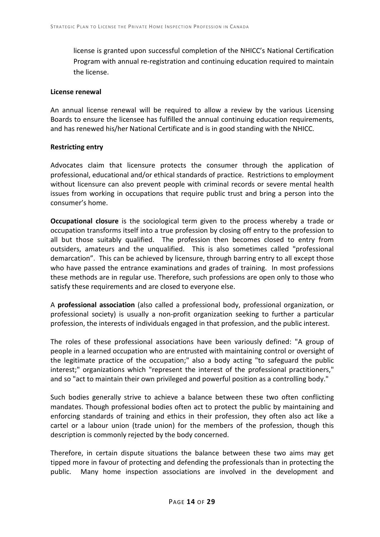license is granted upon successful completion of the NHICC's National Certification Program with annual re-registration and continuing education required to maintain the license.

#### **License renewal**

An annual license renewal will be required to allow a review by the various Licensing Boards to ensure the licensee has fulfilled the annual continuing education requirements, and has renewed his/her National Certificate and is in good standing with the NHICC.

#### **Restricting entry**

Advocates claim that licensure protects the consumer through the application of professional, educational and/or ethical standards of practice. Restrictions to employment without licensure can also prevent people with criminal records or severe mental health issues from working in occupations that require public trust and bring a person into the consumer's home.

**Occupational closure** is the sociological term given to the process whereby a trade or occupation transforms itself into a true profession by closing off entry to the profession to all but those suitably qualified. The profession then becomes closed to entry from outsiders, amateurs and the unqualified. This is also sometimes called "professional demarcation". This can be achieved by licensure, through barring entry to all except those who have passed the entrance examinations and grades of training. In most professions these methods are in regular use. Therefore, such professions are open only to those who satisfy these requirements and are closed to everyone else.

A **professional association** (also called a professional body, professional organization, or professional society) is usually a non-profit organization seeking to further a particular profession, the interests of individuals engaged in that profession, and the public interest.

The roles of these professional associations have been variously defined: "A group of people in a learned occupation who are entrusted with maintaining control or oversight of the legitimate practice of the occupation;" also a body acting "to safeguard the public interest;" organizations which "represent the interest of the professional practitioners," and so "act to maintain their own privileged and powerful position as a controlling body."

Such bodies generally strive to achieve a balance between these two often conflicting mandates. Though professional bodies often act to protect the public by maintaining and enforcing standards of training and ethics in their profession, they often also act like a cartel or a labour union (trade union) for the members of the profession, though this description is commonly rejected by the body concerned.

Therefore, in certain dispute situations the balance between these two aims may get tipped more in favour of protecting and defending the professionals than in protecting the public. Many home inspection associations are involved in the development and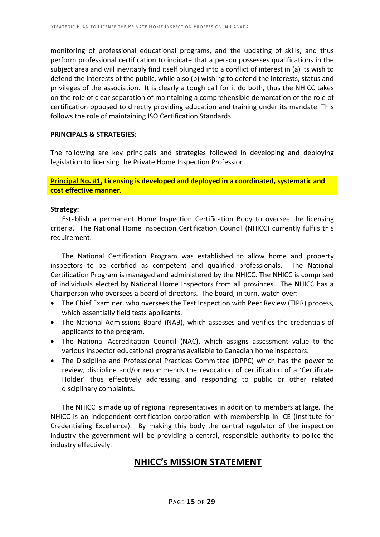monitoring of professional educational programs, and the updating of skills, and thus perform professional certification to indicate that a person possesses qualifications in the subject area and will inevitably find itself plunged into a conflict of interest in (a) its wish to defend the interests of the public, while also (b) wishing to defend the interests, status and privileges of the association. It is clearly a tough call for it do both, thus the NHICC takes on the role of clear separation of maintaining a comprehensible demarcation of the role of certification opposed to directly providing education and training under its mandate. This follows the role of maintaining ISO Certification Standards.

#### **PRINCIPALS & STRATEGIES:**

The following are key principals and strategies followed in developing and deploying legislation to licensing the Private Home Inspection Profession.

**Principal No. #1, Licensing is developed and deployed in a coordinated, systematic and cost effective manner.**

#### **Strategy:**

Establish a permanent Home Inspection Certification Body to oversee the licensing criteria. The National Home Inspection Certification Council (NHICC) currently fulfils this requirement.

The National Certification Program was established to allow home and property inspectors to be certified as competent and qualified professionals. The National Certification Program is managed and administered by the NHICC. The NHICC is comprised of individuals elected by National Home Inspectors from all provinces. The NHICC has a Chairperson who oversees a board of directors. The board, in turn, watch over:

- The Chief Examiner, who oversees the Test Inspection with Peer Review (TIPR) process, which essentially field tests applicants.
- The National Admissions Board (NAB), which assesses and verifies the credentials of applicants to the program.
- The National Accreditation Council (NAC), which assigns assessment value to the various inspector educational programs available to Canadian home inspectors.
- The Discipline and Professional Practices Committee (DPPC) which has the power to review, discipline and/or recommends the revocation of certification of a 'Certificate Holder' thus effectively addressing and responding to public or other related disciplinary complaints.

The NHICC is made up of regional representatives in addition to members at large. The NHICC is an independent certification corporation with membership in ICE (Institute for Credentialing Excellence). By making this body the central regulator of the inspection industry the government will be providing a central, responsible authority to police the industry effectively.

### **NHICC's MISSION STATEMENT**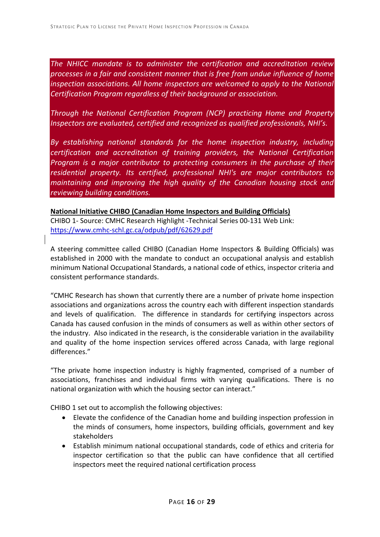*The NHICC mandate is to administer the certification and accreditation review processes in a fair and consistent manner that is free from undue influence of home inspection associations. All home inspectors are welcomed to apply to the National Certification Program regardless of their background or association.* 

*Through the National Certification Program (NCP) practicing Home and Property Inspectors are evaluated, certified and recognized as qualified professionals, NHI's.* 

*By establishing national standards for the home inspection industry, including certification and accreditation of training providers, the National Certification Program is a major contributor to protecting consumers in the purchase of their residential property. Its certified, professional NHI's are major contributors to maintaining and improving the high quality of the Canadian housing stock and reviewing building conditions.*

### **National Initiative CHIBO (Canadian Home Inspectors and Building Officials)**

CHIBO 1- Source: CMHC Research Highlight -Technical Series 00-131 Web Link: <https://www.cmhc-schl.gc.ca/odpub/pdf/62629.pdf>

A steering committee called CHIBO (Canadian Home Inspectors & Building Officials) was established in 2000 with the mandate to conduct an occupational analysis and establish minimum National Occupational Standards, a national code of ethics, inspector criteria and consistent performance standards.

"CMHC Research has shown that currently there are a number of private home inspection associations and organizations across the country each with different inspection standards and levels of qualification. The difference in standards for certifying inspectors across Canada has caused confusion in the minds of consumers as well as within other sectors of the industry. Also indicated in the research, is the considerable variation in the availability and quality of the home inspection services offered across Canada, with large regional differences."

"The private home inspection industry is highly fragmented, comprised of a number of associations, franchises and individual firms with varying qualifications. There is no national organization with which the housing sector can interact."

CHIBO 1 set out to accomplish the following objectives:

- Elevate the confidence of the Canadian home and building inspection profession in the minds of consumers, home inspectors, building officials, government and key stakeholders
- Establish minimum national occupational standards, code of ethics and criteria for inspector certification so that the public can have confidence that all certified inspectors meet the required national certification process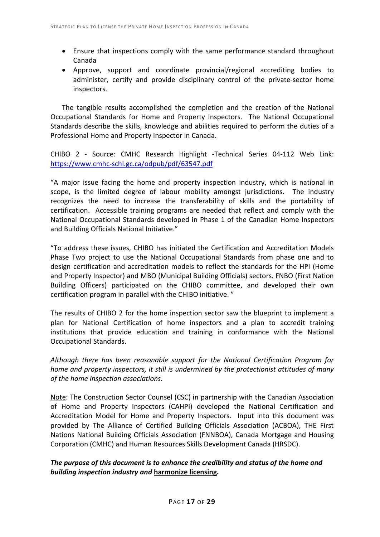- Ensure that inspections comply with the same performance standard throughout Canada
- Approve, support and coordinate provincial/regional accrediting bodies to administer, certify and provide disciplinary control of the private-sector home inspectors.

The tangible results accomplished the completion and the creation of the National Occupational Standards for Home and Property Inspectors. The National Occupational Standards describe the skills, knowledge and abilities required to perform the duties of a Professional Home and Property Inspector in Canada.

CHIBO 2 - Source: CMHC Research Highlight -Technical Series 04-112 Web Link: <https://www.cmhc-schl.gc.ca/odpub/pdf/63547.pdf>

"A major issue facing the home and property inspection industry, which is national in scope, is the limited degree of labour mobility amongst jurisdictions. The industry recognizes the need to increase the transferability of skills and the portability of certification. Accessible training programs are needed that reflect and comply with the National Occupational Standards developed in Phase 1 of the Canadian Home Inspectors and Building Officials National Initiative."

"To address these issues, CHIBO has initiated the Certification and Accreditation Models Phase Two project to use the National Occupational Standards from phase one and to design certification and accreditation models to reflect the standards for the HPI (Home and Property Inspector) and MBO (Municipal Building Officials) sectors. FNBO (First Nation Building Officers) participated on the CHIBO committee, and developed their own certification program in parallel with the CHIBO initiative. "

The results of CHIBO 2 for the home inspection sector saw the blueprint to implement a plan for National Certification of home inspectors and a plan to accredit training institutions that provide education and training in conformance with the National Occupational Standards.

*Although there has been reasonable support for the National Certification Program for home and property inspectors, it still is undermined by the protectionist attitudes of many of the home inspection associations.* 

Note: The Construction Sector Counsel (CSC) in partnership with the Canadian Association of Home and Property Inspectors (CAHPI) developed the National Certification and Accreditation Model for Home and Property Inspectors. Input into this document was provided by The Alliance of Certified Building Officials Association (ACBOA), THE First Nations National Building Officials Association (FNNBOA), Canada Mortgage and Housing Corporation (CMHC) and Human Resources Skills Development Canada (HRSDC).

*The purpose of this document is to enhance the credibility and status of the home and building inspection industry and* **harmonize licensing***.*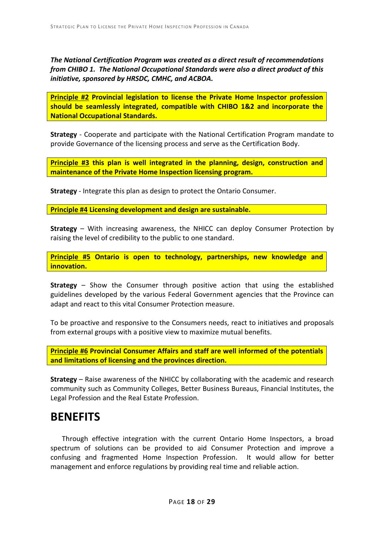*The National Certification Program was created as a direct result of recommendations from CHIBO 1. The National Occupational Standards were also a direct product of this initiative, sponsored by HRSDC, CMHC, and ACBOA.*

**Principle #2 Provincial legislation to license the Private Home Inspector profession should be seamlessly integrated, compatible with CHIBO 1&2 and incorporate the National Occupational Standards.**

**Strategy** - Cooperate and participate with the National Certification Program mandate to provide Governance of the licensing process and serve as the Certification Body.

**Principle #3 this plan is well integrated in the planning, design, construction and maintenance of the Private Home Inspection licensing program.**

**Strategy** - Integrate this plan as design to protect the Ontario Consumer.

**Principle #4 Licensing development and design are sustainable.**

**Strategy** – With increasing awareness, the NHICC can deploy Consumer Protection by raising the level of credibility to the public to one standard.

**Principle #5 Ontario is open to technology, partnerships, new knowledge and innovation.**

**Strategy** – Show the Consumer through positive action that using the established guidelines developed by the various Federal Government agencies that the Province can adapt and react to this vital Consumer Protection measure.

To be proactive and responsive to the Consumers needs, react to initiatives and proposals from external groups with a positive view to maximize mutual benefits.

**Principle #6 Provincial Consumer Affairs and staff are well informed of the potentials and limitations of licensing and the provinces direction.**

**Strategy** – Raise awareness of the NHICC by collaborating with the academic and research community such as Community Colleges, Better Business Bureaus, Financial Institutes, the Legal Profession and the Real Estate Profession.

### **BENEFITS**

Through effective integration with the current Ontario Home Inspectors, a broad spectrum of solutions can be provided to aid Consumer Protection and improve a confusing and fragmented Home Inspection Profession. It would allow for better management and enforce regulations by providing real time and reliable action.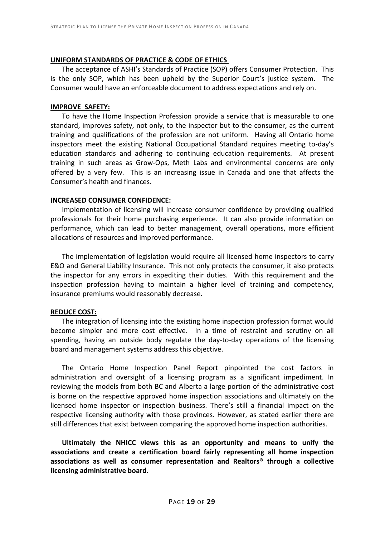#### **UNIFORM STANDARDS OF PRACTICE & CODE OF ETHICS**

The acceptance of ASHI's Standards of Practice (SOP) offers Consumer Protection. This is the only SOP, which has been upheld by the Superior Court's justice system. The Consumer would have an enforceable document to address expectations and rely on.

#### **IMPROVE SAFETY:**

To have the Home Inspection Profession provide a service that is measurable to one standard, improves safety, not only, to the inspector but to the consumer, as the current training and qualifications of the profession are not uniform. Having all Ontario home inspectors meet the existing National Occupational Standard requires meeting to-day's education standards and adhering to continuing education requirements. At present training in such areas as Grow-Ops, Meth Labs and environmental concerns are only offered by a very few. This is an increasing issue in Canada and one that affects the Consumer's health and finances.

#### **INCREASED CONSUMER CONFIDENCE:**

Implementation of licensing will increase consumer confidence by providing qualified professionals for their home purchasing experience. It can also provide information on performance, which can lead to better management, overall operations, more efficient allocations of resources and improved performance.

The implementation of legislation would require all licensed home inspectors to carry E&O and General Liability Insurance. This not only protects the consumer, it also protects the inspector for any errors in expediting their duties. With this requirement and the inspection profession having to maintain a higher level of training and competency, insurance premiums would reasonably decrease.

#### **REDUCE COST:**

The integration of licensing into the existing home inspection profession format would become simpler and more cost effective. In a time of restraint and scrutiny on all spending, having an outside body regulate the day-to-day operations of the licensing board and management systems address this objective.

The Ontario Home Inspection Panel Report pinpointed the cost factors in administration and oversight of a licensing program as a significant impediment. In reviewing the models from both BC and Alberta a large portion of the administrative cost is borne on the respective approved home inspection associations and ultimately on the licensed home inspector or inspection business. There's still a financial impact on the respective licensing authority with those provinces. However, as stated earlier there are still differences that exist between comparing the approved home inspection authorities.

**Ultimately the NHICC views this as an opportunity and means to unify the associations and create a certification board fairly representing all home inspection associations as well as consumer representation and Realtors® through a collective licensing administrative board.**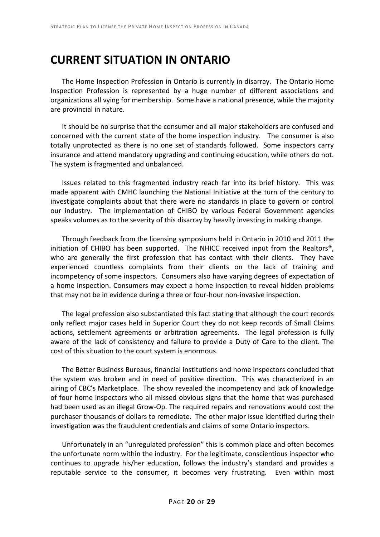### **CURRENT SITUATION IN ONTARIO**

The Home Inspection Profession in Ontario is currently in disarray. The Ontario Home Inspection Profession is represented by a huge number of different associations and organizations all vying for membership. Some have a national presence, while the majority are provincial in nature.

It should be no surprise that the consumer and all major stakeholders are confused and concerned with the current state of the home inspection industry. The consumer is also totally unprotected as there is no one set of standards followed. Some inspectors carry insurance and attend mandatory upgrading and continuing education, while others do not. The system is fragmented and unbalanced.

Issues related to this fragmented industry reach far into its brief history. This was made apparent with CMHC launching the National Initiative at the turn of the century to investigate complaints about that there were no standards in place to govern or control our industry. The implementation of CHIBO by various Federal Government agencies speaks volumes as to the severity of this disarray by heavily investing in making change.

Through feedback from the licensing symposiums held in Ontario in 2010 and 2011 the initiation of CHIBO has been supported. The NHICC received input from the Realtors®, who are generally the first profession that has contact with their clients. They have experienced countless complaints from their clients on the lack of training and incompetency of some inspectors. Consumers also have varying degrees of expectation of a home inspection. Consumers may expect a home inspection to reveal hidden problems that may not be in evidence during a three or four-hour non-invasive inspection.

The legal profession also substantiated this fact stating that although the court records only reflect major cases held in Superior Court they do not keep records of Small Claims actions, settlement agreements or arbitration agreements. The legal profession is fully aware of the lack of consistency and failure to provide a Duty of Care to the client. The cost of this situation to the court system is enormous.

The Better Business Bureaus, financial institutions and home inspectors concluded that the system was broken and in need of positive direction. This was characterized in an airing of CBC's Marketplace. The show revealed the incompetency and lack of knowledge of four home inspectors who all missed obvious signs that the home that was purchased had been used as an illegal Grow-Op. The required repairs and renovations would cost the purchaser thousands of dollars to remediate. The other major issue identified during their investigation was the fraudulent credentials and claims of some Ontario inspectors.

Unfortunately in an "unregulated profession" this is common place and often becomes the unfortunate norm within the industry. For the legitimate, conscientious inspector who continues to upgrade his/her education, follows the industry's standard and provides a reputable service to the consumer, it becomes very frustrating. Even within most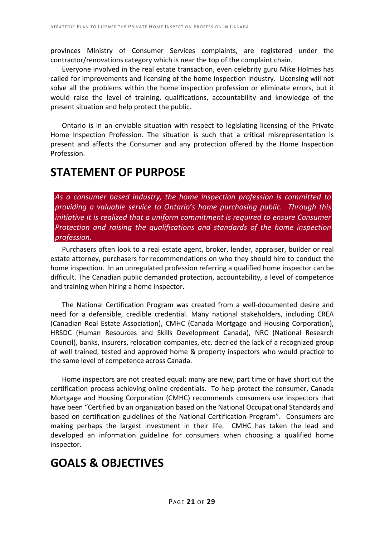provinces Ministry of Consumer Services complaints, are registered under the contractor/renovations category which is near the top of the complaint chain.

Everyone involved in the real estate transaction, even celebrity guru Mike Holmes has called for improvements and licensing of the home inspection industry. Licensing will not solve all the problems within the home inspection profession or eliminate errors, but it would raise the level of training, qualifications, accountability and knowledge of the present situation and help protect the public.

 Ontario is in an enviable situation with respect to legislating licensing of the Private Home Inspection Profession. The situation is such that a critical misrepresentation is present and affects the Consumer and any protection offered by the Home Inspection Profession.

### **STATEMENT OF PURPOSE**

*As a consumer based industry, the home inspection profession is committed to providing a valuable service to Ontario's home purchasing public. Through this initiative it is realized that a uniform commitment is required to ensure Consumer Protection and raising the qualifications and standards of the home inspection profession.*

Purchasers often look to a real estate agent, broker, lender, appraiser, builder or real estate attorney, purchasers for recommendations on who they should hire to conduct the home inspection. In an unregulated profession referring a qualified home inspector can be difficult. The Canadian public demanded protection, accountability, a level of competence and training when hiring a home inspector.

The National Certification Program was created from a well-documented desire and need for a defensible, credible credential. Many national stakeholders, including CREA (Canadian Real Estate Association), CMHC (Canada Mortgage and Housing Corporation), HRSDC (Human Resources and Skills Development Canada), NRC (National Research Council), banks, insurers, relocation companies, etc. decried the lack of a recognized group of well trained, tested and approved home & property inspectors who would practice to the same level of competence across Canada.

Home inspectors are not created equal; many are new, part time or have short cut the certification process achieving online credentials. To help protect the consumer, Canada Mortgage and Housing Corporation (CMHC) recommends consumers use inspectors that have been "Certified by an organization based on the National Occupational Standards and based on certification guidelines of the National Certification Program". Consumers are making perhaps the largest investment in their life. CMHC has taken the lead and developed an information guideline for consumers when choosing a qualified home inspector.

# **GOALS & OBJECTIVES**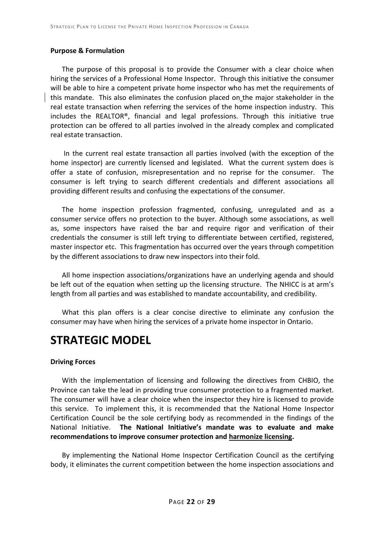#### **Purpose & Formulation**

The purpose of this proposal is to provide the Consumer with a clear choice when hiring the services of a Professional Home Inspector. Through this initiative the consumer will be able to hire a competent private home inspector who has met the requirements of this mandate. This also eliminates the confusion placed on the major stakeholder in the real estate transaction when referring the services of the home inspection industry. This includes the REALTOR®, financial and legal professions. Through this initiative true protection can be offered to all parties involved in the already complex and complicated real estate transaction.

In the current real estate transaction all parties involved (with the exception of the home inspector) are currently licensed and legislated. What the current system does is offer a state of confusion, misrepresentation and no reprise for the consumer. The consumer is left trying to search different credentials and different associations all providing different results and confusing the expectations of the consumer.

The home inspection profession fragmented, confusing, unregulated and as a consumer service offers no protection to the buyer. Although some associations, as well as, some inspectors have raised the bar and require rigor and verification of their credentials the consumer is still left trying to differentiate between certified, registered, master inspector etc. This fragmentation has occurred over the years through competition by the different associations to draw new inspectors into their fold.

All home inspection associations/organizations have an underlying agenda and should be left out of the equation when setting up the licensing structure. The NHICC is at arm's length from all parties and was established to mandate accountability, and credibility.

What this plan offers is a clear concise directive to eliminate any confusion the consumer may have when hiring the services of a private home inspector in Ontario.

### **STRATEGIC MODEL**

#### **Driving Forces**

With the implementation of licensing and following the directives from CHBIO, the Province can take the lead in providing true consumer protection to a fragmented market. The consumer will have a clear choice when the inspector they hire is licensed to provide this service. To implement this, it is recommended that the National Home Inspector Certification Council be the sole certifying body as recommended in the findings of the National Initiative. **The National Initiative's mandate was to evaluate and make recommendations to improve consumer protection and harmonize licensing.**

By implementing the National Home Inspector Certification Council as the certifying body, it eliminates the current competition between the home inspection associations and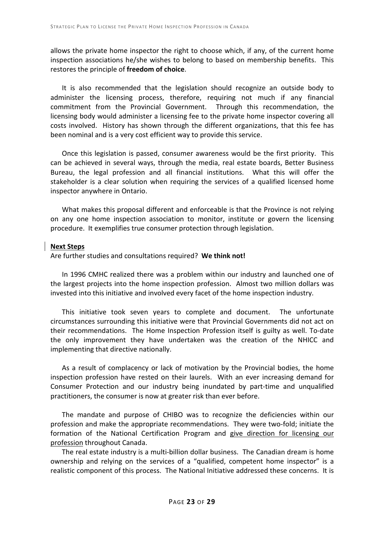allows the private home inspector the right to choose which, if any, of the current home inspection associations he/she wishes to belong to based on membership benefits. This restores the principle of **freedom of choice**.

It is also recommended that the legislation should recognize an outside body to administer the licensing process, therefore, requiring not much if any financial commitment from the Provincial Government. Through this recommendation, the licensing body would administer a licensing fee to the private home inspector covering all costs involved. History has shown through the different organizations, that this fee has been nominal and is a very cost efficient way to provide this service.

Once this legislation is passed, consumer awareness would be the first priority. This can be achieved in several ways, through the media, real estate boards, Better Business Bureau, the legal profession and all financial institutions. What this will offer the stakeholder is a clear solution when requiring the services of a qualified licensed home inspector anywhere in Ontario.

What makes this proposal different and enforceable is that the Province is not relying on any one home inspection association to monitor, institute or govern the licensing procedure. It exemplifies true consumer protection through legislation.

#### **Next Steps**

Are further studies and consultations required? **We think not!**

In 1996 CMHC realized there was a problem within our industry and launched one of the largest projects into the home inspection profession. Almost two million dollars was invested into this initiative and involved every facet of the home inspection industry.

This initiative took seven years to complete and document. The unfortunate circumstances surrounding this initiative were that Provincial Governments did not act on their recommendations. The Home Inspection Profession itself is guilty as well. To-date the only improvement they have undertaken was the creation of the NHICC and implementing that directive nationally.

As a result of complacency or lack of motivation by the Provincial bodies, the home inspection profession have rested on their laurels. With an ever increasing demand for Consumer Protection and our industry being inundated by part-time and unqualified practitioners, the consumer is now at greater risk than ever before.

The mandate and purpose of CHIBO was to recognize the deficiencies within our profession and make the appropriate recommendations. They were two-fold; initiate the formation of the National Certification Program and give direction for licensing our profession throughout Canada.

The real estate industry is a multi-billion dollar business. The Canadian dream is home ownership and relying on the services of a "qualified, competent home inspector" is a realistic component of this process. The National Initiative addressed these concerns. It is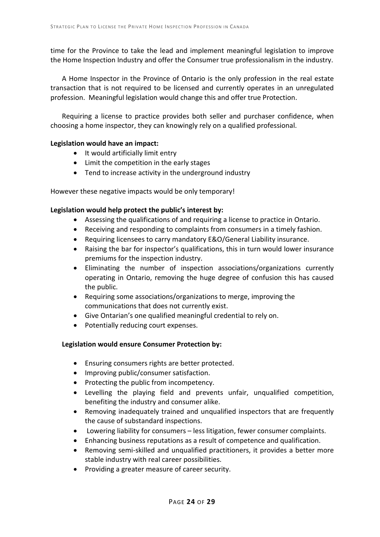time for the Province to take the lead and implement meaningful legislation to improve the Home Inspection Industry and offer the Consumer true professionalism in the industry.

A Home Inspector in the Province of Ontario is the only profession in the real estate transaction that is not required to be licensed and currently operates in an unregulated profession. Meaningful legislation would change this and offer true Protection.

Requiring a license to practice provides both seller and purchaser confidence, when choosing a home inspector, they can knowingly rely on a qualified professional.

#### **Legislation would have an impact:**

- It would artificially limit entry
- Limit the competition in the early stages
- Tend to increase activity in the underground industry

However these negative impacts would be only temporary!

#### **Legislation would help protect the public's interest by:**

- Assessing the qualifications of and requiring a license to practice in Ontario.
- Receiving and responding to complaints from consumers in a timely fashion.
- Requiring licensees to carry mandatory E&O/General Liability insurance.
- Raising the bar for inspector's qualifications, this in turn would lower insurance premiums for the inspection industry.
- Eliminating the number of inspection associations/organizations currently operating in Ontario, removing the huge degree of confusion this has caused the public.
- Requiring some associations/organizations to merge, improving the communications that does not currently exist.
- Give Ontarian's one qualified meaningful credential to rely on.
- Potentially reducing court expenses.

#### **Legislation would ensure Consumer Protection by:**

- Ensuring consumers rights are better protected.
- Improving public/consumer satisfaction.
- Protecting the public from incompetency.
- Levelling the playing field and prevents unfair, unqualified competition, benefiting the industry and consumer alike.
- Removing inadequately trained and unqualified inspectors that are frequently the cause of substandard inspections.
- Lowering liability for consumers less litigation, fewer consumer complaints.
- Enhancing business reputations as a result of competence and qualification.
- Removing semi-skilled and unqualified practitioners, it provides a better more stable industry with real career possibilities.
- Providing a greater measure of career security.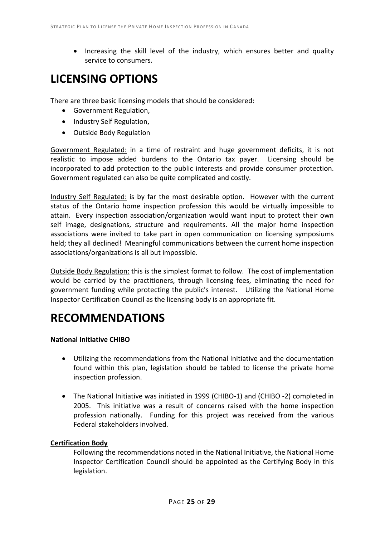• Increasing the skill level of the industry, which ensures better and quality service to consumers.

# **LICENSING OPTIONS**

There are three basic licensing models that should be considered:

- Government Regulation,
- Industry Self Regulation,
- Outside Body Regulation

Government Regulated: in a time of restraint and huge government deficits, it is not realistic to impose added burdens to the Ontario tax payer. Licensing should be incorporated to add protection to the public interests and provide consumer protection. Government regulated can also be quite complicated and costly.

Industry Self Regulated: is by far the most desirable option. However with the current status of the Ontario home inspection profession this would be virtually impossible to attain. Every inspection association/organization would want input to protect their own self image, designations, structure and requirements. All the major home inspection associations were invited to take part in open communication on licensing symposiums held; they all declined! Meaningful communications between the current home inspection associations/organizations is all but impossible.

Outside Body Regulation: this is the simplest format to follow. The cost of implementation would be carried by the practitioners, through licensing fees, eliminating the need for government funding while protecting the public's interest. Utilizing the National Home Inspector Certification Council as the licensing body is an appropriate fit.

### **RECOMMENDATIONS**

#### **National Initiative CHIBO**

- Utilizing the recommendations from the National Initiative and the documentation found within this plan, legislation should be tabled to license the private home inspection profession.
- The National Initiative was initiated in 1999 (CHIBO-1) and (CHIBO -2) completed in 2005. This initiative was a result of concerns raised with the home inspection profession nationally. Funding for this project was received from the various Federal stakeholders involved.

### **Certification Body**

Following the recommendations noted in the National Initiative, the National Home Inspector Certification Council should be appointed as the Certifying Body in this legislation.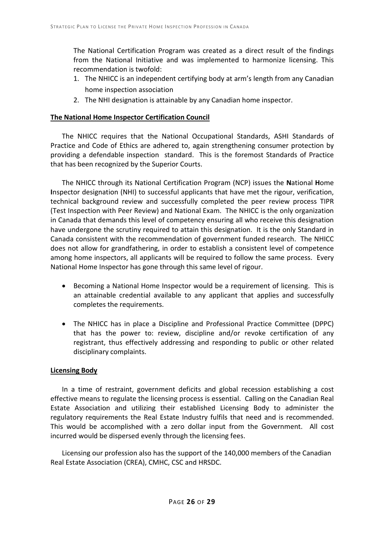The National Certification Program was created as a direct result of the findings from the National Initiative and was implemented to harmonize licensing. This recommendation is twofold:

- 1. The NHICC is an independent certifying body at arm's length from any Canadian home inspection association
- 2. The NHI designation is attainable by any Canadian home inspector.

#### **The National Home Inspector Certification Council**

The NHICC requires that the National Occupational Standards, ASHI Standards of Practice and Code of Ethics are adhered to, again strengthening consumer protection by providing a defendable inspection standard. This is the foremost Standards of Practice that has been recognized by the Superior Courts.

The NHICC through its National Certification Program (NCP) issues the **N**ational **H**ome **I**nspector designation (NHI) to successful applicants that have met the rigour, verification, technical background review and successfully completed the peer review process TIPR (Test Inspection with Peer Review) and National Exam. The NHICC is the only organization in Canada that demands this level of competency ensuring all who receive this designation have undergone the scrutiny required to attain this designation. It is the only Standard in Canada consistent with the recommendation of government funded research. The NHICC does not allow for grandfathering, in order to establish a consistent level of competence among home inspectors, all applicants will be required to follow the same process. Every National Home Inspector has gone through this same level of rigour.

- Becoming a National Home Inspector would be a requirement of licensing. This is an attainable credential available to any applicant that applies and successfully completes the requirements.
- The NHICC has in place a Discipline and Professional Practice Committee (DPPC) that has the power to: review, discipline and/or revoke certification of any registrant, thus effectively addressing and responding to public or other related disciplinary complaints.

#### **Licensing Body**

In a time of restraint, government deficits and global recession establishing a cost effective means to regulate the licensing process is essential. Calling on the Canadian Real Estate Association and utilizing their established Licensing Body to administer the regulatory requirements the Real Estate Industry fulfils that need and is recommended. This would be accomplished with a zero dollar input from the Government. All cost incurred would be dispersed evenly through the licensing fees.

Licensing our profession also has the support of the 140,000 members of the Canadian Real Estate Association (CREA), CMHC, CSC and HRSDC.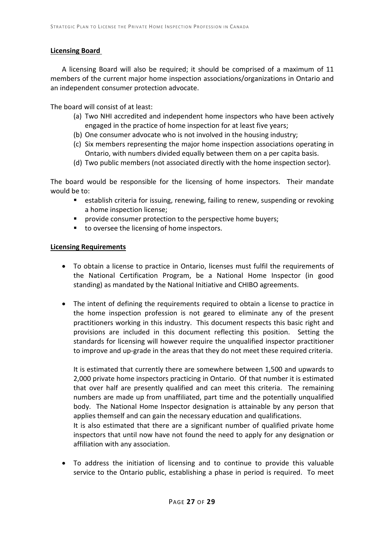#### **Licensing Board**

A licensing Board will also be required; it should be comprised of a maximum of 11 members of the current major home inspection associations/organizations in Ontario and an independent consumer protection advocate.

The board will consist of at least:

- (a) Two NHI accredited and independent home inspectors who have been actively engaged in the practice of home inspection for at least five years;
- (b) One consumer advocate who is not involved in the housing industry;
- (c) Six members representing the major home inspection associations operating in Ontario, with numbers divided equally between them on a per capita basis.
- (d) Two public members (not associated directly with the home inspection sector).

The board would be responsible for the licensing of home inspectors. Their mandate would be to:

- establish criteria for issuing, renewing, failing to renew, suspending or revoking a home inspection license;
- **PEDIME:** provide consumer protection to the perspective home buyers;
- to oversee the licensing of home inspectors.

#### **Licensing Requirements**

- To obtain a license to practice in Ontario, licenses must fulfil the requirements of the National Certification Program, be a National Home Inspector (in good standing) as mandated by the National Initiative and CHIBO agreements.
- The intent of defining the requirements required to obtain a license to practice in the home inspection profession is not geared to eliminate any of the present practitioners working in this industry. This document respects this basic right and provisions are included in this document reflecting this position. Setting the standards for licensing will however require the unqualified inspector practitioner to improve and up-grade in the areas that they do not meet these required criteria.

It is estimated that currently there are somewhere between 1,500 and upwards to 2,000 private home inspectors practicing in Ontario. Of that number it is estimated that over half are presently qualified and can meet this criteria. The remaining numbers are made up from unaffiliated, part time and the potentially unqualified body. The National Home Inspector designation is attainable by any person that applies themself and can gain the necessary education and qualifications.

It is also estimated that there are a significant number of qualified private home inspectors that until now have not found the need to apply for any designation or affiliation with any association.

• To address the initiation of licensing and to continue to provide this valuable service to the Ontario public, establishing a phase in period is required. To meet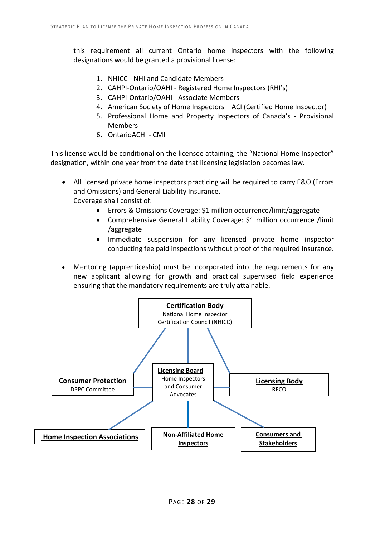this requirement all current Ontario home inspectors with the following designations would be granted a provisional license:

- 1. NHICC NHI and Candidate Members
- 2. CAHPI-Ontario/OAHI Registered Home Inspectors (RHI's)
- 3. CAHPI-Ontario/OAHI Associate Members
- 4. American Society of Home Inspectors ACI (Certified Home Inspector)
- 5. Professional Home and Property Inspectors of Canada's Provisional Members
- 6. OntarioACHI CMI

This license would be conditional on the licensee attaining, the "National Home Inspector" designation, within one year from the date that licensing legislation becomes law.

- All licensed private home inspectors practicing will be required to carry E&O (Errors and Omissions) and General Liability Insurance. Coverage shall consist of:
	- Errors & Omissions Coverage: \$1 million occurrence/limit/aggregate
	- Comprehensive General Liability Coverage: \$1 million occurrence /limit /aggregate
	- Immediate suspension for any licensed private home inspector conducting fee paid inspections without proof of the required insurance.
- Mentoring (apprenticeship) must be incorporated into the requirements for any new applicant allowing for growth and practical supervised field experience ensuring that the mandatory requirements are truly attainable.